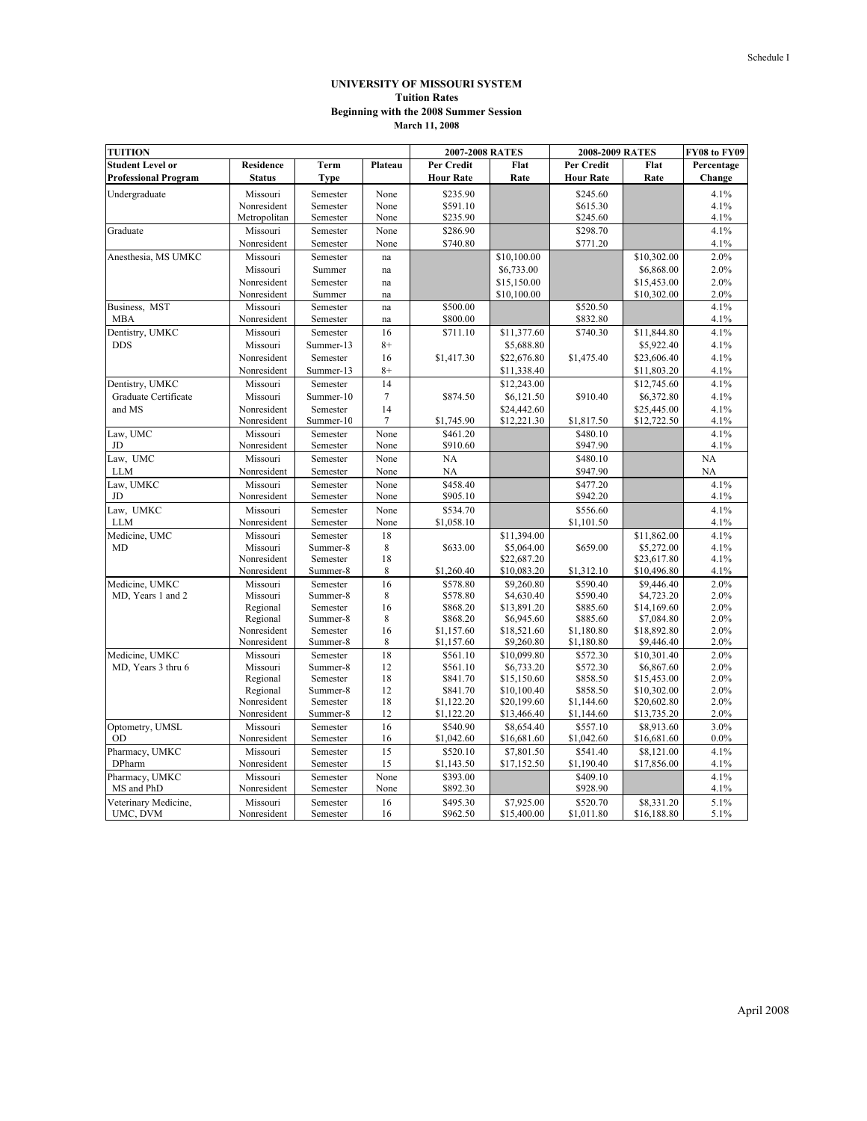## **UNIVERSITY OF MISSOURI SYSTEM Tuition Rates March 11, 2008 Beginning with the 2008 Summer Session**

| <b>TUITION</b>              |                      | 2007-2008 RATES      |         |                        | 2008-2009 RATES           | FY08 to FY09         |                           |              |
|-----------------------------|----------------------|----------------------|---------|------------------------|---------------------------|----------------------|---------------------------|--------------|
| <b>Student Level or</b>     | <b>Residence</b>     | Term                 | Plateau | <b>Per Credit</b>      | Flat                      | Per Credit           | Flat                      | Percentage   |
| <b>Professional Program</b> | Status               | <b>Type</b>          |         | <b>Hour Rate</b>       | Rate                      | <b>Hour Rate</b>     | Rate                      | Change       |
| Undergraduate               | Missouri             | Semester             | None    | \$235.90               |                           | \$245.60             |                           | 4.1%         |
|                             | Nonresident          | Semester             | None    | \$591.10               |                           | \$615.30             |                           | 4.1%         |
|                             | Metropolitan         | Semester             | None    | \$235.90               |                           | \$245.60             |                           | 4.1%         |
| Graduate                    | Missouri             | Semester             | None    | \$286.90               |                           | \$298.70             |                           | 4.1%         |
|                             | Nonresident          | Semester             | None    | \$740.80               |                           | \$771.20             |                           | 4.1%         |
| Anesthesia, MS UMKC         | Missouri             | Semester             | na      |                        | \$10,100.00               |                      | \$10,302.00               | 2.0%         |
|                             | Missouri             | Summer               | na      |                        | \$6,733.00                |                      | \$6,868.00                | 2.0%         |
|                             | Nonresident          | Semester             | na      |                        | \$15,150.00               |                      | \$15,453.00               | 2.0%         |
|                             | Nonresident          | Summer               | na      |                        | \$10,100.00               |                      | \$10,302.00               | 2.0%         |
| Business, MST               | Missouri             | Semester             | na      | \$500.00               |                           | \$520.50             |                           | 4.1%         |
| <b>MBA</b>                  | Nonresident          | Semester             | na      | \$800.00               |                           | \$832.80             |                           | 4.1%         |
| Dentistry, UMKC             | Missouri             | Semester             | 16      | \$711.10               | \$11,377.60               | \$740.30             | \$11,844.80               | 4.1%         |
| <b>DDS</b>                  | Missouri             | Summer-13            | $8+$    |                        | \$5,688.80                |                      | \$5,922.40                | 4.1%         |
|                             | Nonresident          | Semester             | 16      | \$1,417.30             | \$22,676.80               | \$1,475.40           | \$23,606.40               | 4.1%         |
|                             | Nonresident          | Summer-13            | $8+$    |                        | \$11,338.40               |                      | \$11,803.20               | 4.1%         |
| Dentistry, UMKC             | Missouri             | Semester             | 14      |                        | \$12,243.00               |                      | \$12,745.60               | 4.1%         |
| Graduate Certificate        | Missouri             | Summer-10            | $\tau$  | \$874.50               | \$6,121.50                | \$910.40             | \$6,372.80                | 4.1%         |
| and MS                      | Nonresident          | Semester             | 14      |                        | \$24,442.60               |                      | \$25,445.00               | 4.1%         |
|                             | Nonresident          | Summer-10            | $\tau$  | \$1,745.90             | \$12,221.30               | \$1,817.50           | \$12,722.50               | 4.1%         |
| aw, UMC                     | Missouri             | Semester             | None    | \$461.20               |                           | \$480.10             |                           | 4.1%         |
| JD                          | Nonresident          | Semester             | None    | \$910.60               |                           | \$947.90             |                           | 4.1%         |
| Law, UMC                    | Missouri             | Semester             | None    | <b>NA</b>              |                           | \$480.10             |                           | NA           |
| <b>LLM</b>                  | Nonresident          | Semester             | None    | NA                     |                           | \$947.90             |                           | NA           |
| Law, UMKC                   | Missouri             | Semester             | None    | \$458.40               |                           | \$477.20             |                           | 4.1%         |
| JD                          | Nonresident          | Semester             | None    | \$905.10               |                           | \$942.20             |                           | 4.1%         |
| Law, UMKC                   | Missouri             | Semester             | None    | \$534.70               |                           | \$556.60             |                           | 4.1%         |
| <b>LLM</b>                  | Nonresident          | Semester             | None    | \$1,058.10             |                           | \$1,101.50           |                           | 4.1%         |
| Medicine, UMC               | Missouri             | Semester             | 18      |                        | \$11,394.00               |                      | \$11,862.00               | 4.1%         |
| MD                          | Missouri             | Summer-8             | 8       | \$633.00               | \$5,064.00                | \$659.00             | \$5,272.00                | 4.1%         |
|                             | Nonresident          | Semester             | 18      |                        | \$22,687.20               |                      | \$23,617.80               | 4.1%         |
|                             | Nonresident          | Summer-8             | 8       | \$1,260.40             | \$10,083.20               | \$1,312.10           | \$10,496.80               | 4.1%         |
| Medicine, UMKC              | Missouri             | Semester             | 16      | \$578.80               | \$9,260.80                | \$590.40             | \$9,446.40                | 2.0%         |
| MD, Years 1 and 2           | Missouri             | Summer-8             | 8       | \$578.80               | \$4,630.40                | \$590.40             | \$4,723.20                | 2.0%         |
|                             | Regional<br>Regional | Semester<br>Summer-8 | 16<br>8 | \$868.20               | \$13,891.20<br>\$6,945.60 | \$885.60<br>\$885.60 | \$14,169.60<br>\$7,084.80 | 2.0%<br>2.0% |
|                             | Nonresident          | Semester             | 16      | \$868.20<br>\$1,157.60 | \$18,521.60               | \$1,180.80           | \$18,892.80               | 2.0%         |
|                             | Nonresident          | Summer-8             | 8       | \$1,157.60             | \$9,260.80                | \$1,180.80           | \$9,446.40                | 2.0%         |
| Medicine, UMKC              | Missouri             | Semester             | 18      | \$561.10               | \$10,099.80               | \$572.30             | \$10.301.40               | 2.0%         |
| MD, Years 3 thru 6          | Missouri             | Summer-8             | 12      | \$561.10               | \$6,733.20                | \$572.30             | \$6,867.60                | 2.0%         |
|                             | Regional             | Semester             | 18      | \$841.70               | \$15,150.60               | \$858.50             | \$15,453.00               | 2.0%         |
|                             | Regional             | Summer-8             | 12      | \$841.70               | \$10,100.40               | \$858.50             | \$10,302.00               | 2.0%         |
|                             | Nonresident          | Semester             | 18      | \$1,122.20             | \$20,199.60               | \$1,144.60           | \$20,602.80               | 2.0%         |
|                             | Nonresident          | Summer-8             | 12      | \$1,122.20             | \$13,466.40               | \$1,144.60           | \$13,735.20               | 2.0%         |
| Optometry, UMSL             | Missouri             | Semester             | 16      | \$540.90               | \$8,654.40                | \$557.10             | \$8,913.60                | 3.0%         |
| OD                          | Nonresident          | Semester             | 16      | \$1,042.60             | \$16,681.60               | \$1,042.60           | \$16,681.60               | 0.0%         |
| Pharmacy, UMKC              | Missouri             | Semester             | 15      | \$520.10               | \$7,801.50                | \$541.40             | \$8,121.00                | 4.1%         |
| DPharm                      | Nonresident          | Semester             | 15      | \$1,143.50             | \$17,152.50               | \$1,190.40           | \$17,856.00               | 4.1%         |
| Pharmacy, UMKC              | Missouri             | Semester             | None    | \$393.00               |                           | \$409.10             |                           | 4.1%         |
| MS and PhD                  | Nonresident          | Semester             | None    | \$892.30               |                           | \$928.90             |                           | 4.1%         |
| Veterinary Medicine,        | Missouri             | Semester             | 16      | \$495.30               | \$7,925.00                | \$520.70             | \$8,331.20                | 5.1%         |
| UMC, DVM                    | Nonresident          | Semester             | 16      | \$962.50               | \$15,400.00               | \$1,011.80           | \$16,188.80               | 5.1%         |